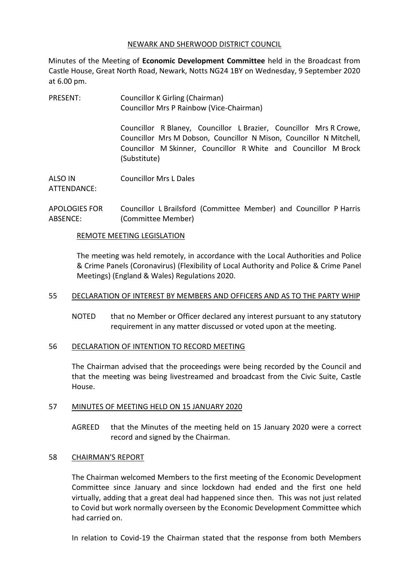#### NEWARK AND SHERWOOD DISTRICT COUNCIL

Minutes of the Meeting of **Economic Development Committee** held in the Broadcast from Castle House, Great North Road, Newark, Notts NG24 1BY on Wednesday, 9 September 2020 at 6.00 pm.

PRESENT: Councillor K Girling (Chairman) Councillor Mrs P Rainbow (Vice-Chairman)

> Councillor R Blaney, Councillor L Brazier, Councillor Mrs R Crowe, Councillor Mrs M Dobson, Councillor N Mison, Councillor N Mitchell, Councillor M Skinner, Councillor R White and Councillor M Brock (Substitute)

ALSO IN ATTENDANCE: Councillor Mrs L Dales

#### APOLOGIES FOR ABSENCE: Councillor L Brailsford (Committee Member) and Councillor P Harris (Committee Member)

### REMOTE MEETING LEGISLATION

The meeting was held remotely, in accordance with the Local Authorities and Police & Crime Panels (Coronavirus) (Flexibility of Local Authority and Police & Crime Panel Meetings) (England & Wales) Regulations 2020.

### 55 DECLARATION OF INTEREST BY MEMBERS AND OFFICERS AND AS TO THE PARTY WHIP

NOTED that no Member or Officer declared any interest pursuant to any statutory requirement in any matter discussed or voted upon at the meeting.

### 56 DECLARATION OF INTENTION TO RECORD MEETING

The Chairman advised that the proceedings were being recorded by the Council and that the meeting was being livestreamed and broadcast from the Civic Suite, Castle House.

### 57 MINUTES OF MEETING HELD ON 15 JANUARY 2020

AGREED that the Minutes of the meeting held on 15 January 2020 were a correct record and signed by the Chairman.

### 58 CHAIRMAN'S REPORT

The Chairman welcomed Members to the first meeting of the Economic Development Committee since January and since lockdown had ended and the first one held virtually, adding that a great deal had happened since then. This was not just related to Covid but work normally overseen by the Economic Development Committee which had carried on.

In relation to Covid-19 the Chairman stated that the response from both Members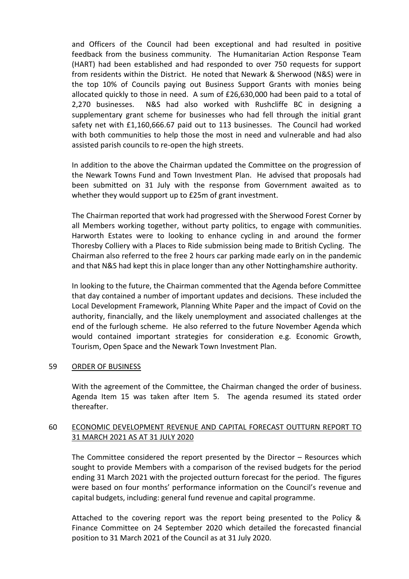and Officers of the Council had been exceptional and had resulted in positive feedback from the business community. The Humanitarian Action Response Team (HART) had been established and had responded to over 750 requests for support from residents within the District. He noted that Newark & Sherwood (N&S) were in the top 10% of Councils paying out Business Support Grants with monies being allocated quickly to those in need. A sum of £26,630,000 had been paid to a total of 2,270 businesses. N&S had also worked with Rushcliffe BC in designing a supplementary grant scheme for businesses who had fell through the initial grant safety net with £1,160,666.67 paid out to 113 businesses. The Council had worked with both communities to help those the most in need and vulnerable and had also assisted parish councils to re-open the high streets.

In addition to the above the Chairman updated the Committee on the progression of the Newark Towns Fund and Town Investment Plan. He advised that proposals had been submitted on 31 July with the response from Government awaited as to whether they would support up to £25m of grant investment.

The Chairman reported that work had progressed with the Sherwood Forest Corner by all Members working together, without party politics, to engage with communities. Harworth Estates were to looking to enhance cycling in and around the former Thoresby Colliery with a Places to Ride submission being made to British Cycling. The Chairman also referred to the free 2 hours car parking made early on in the pandemic and that N&S had kept this in place longer than any other Nottinghamshire authority.

In looking to the future, the Chairman commented that the Agenda before Committee that day contained a number of important updates and decisions. These included the Local Development Framework, Planning White Paper and the impact of Covid on the authority, financially, and the likely unemployment and associated challenges at the end of the furlough scheme. He also referred to the future November Agenda which would contained important strategies for consideration e.g. Economic Growth, Tourism, Open Space and the Newark Town Investment Plan.

### 59 ORDER OF BUSINESS

With the agreement of the Committee, the Chairman changed the order of business. Agenda Item 15 was taken after Item 5. The agenda resumed its stated order thereafter.

# 60 ECONOMIC DEVELOPMENT REVENUE AND CAPITAL FORECAST OUTTURN REPORT TO 31 MARCH 2021 AS AT 31 JULY 2020

The Committee considered the report presented by the Director – Resources which sought to provide Members with a comparison of the revised budgets for the period ending 31 March 2021 with the projected outturn forecast for the period. The figures were based on four months' performance information on the Council's revenue and capital budgets, including: general fund revenue and capital programme.

Attached to the covering report was the report being presented to the Policy & Finance Committee on 24 September 2020 which detailed the forecasted financial position to 31 March 2021 of the Council as at 31 July 2020.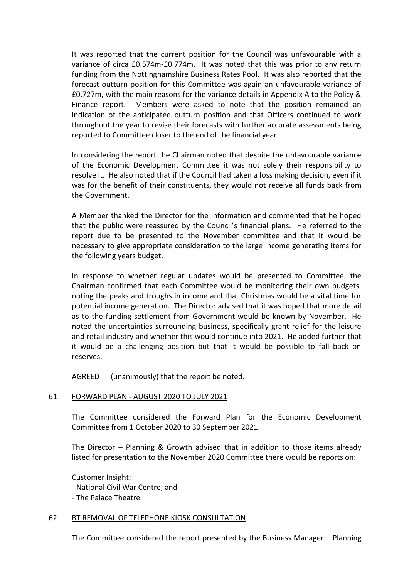It was reported that the current position for the Council was unfavourable with a variance of circa £0.574m-£0.774m. It was noted that this was prior to any return funding from the Nottinghamshire Business Rates Pool. It was also reported that the forecast outturn position for this Committee was again an unfavourable variance of £0.727m, with the main reasons for the variance details in Appendix A to the Policy & Finance report. Members were asked to note that the position remained an indication of the anticipated outturn position and that Officers continued to work throughout the year to revise their forecasts with further accurate assessments being reported to Committee closer to the end of the financial year.

In considering the report the Chairman noted that despite the unfavourable variance of the Economic Development Committee it was not solely their responsibility to resolve it. He also noted that if the Council had taken a loss making decision, even if it was for the benefit of their constituents, they would not receive all funds back from the Government.

A Member thanked the Director for the information and commented that he hoped that the public were reassured by the Council's financial plans. He referred to the report due to be presented to the November committee and that it would be necessary to give appropriate consideration to the large income generating items for the following years budget.

In response to whether regular updates would be presented to Committee, the Chairman confirmed that each Committee would be monitoring their own budgets, noting the peaks and troughs in income and that Christmas would be a vital time for potential income generation. The Director advised that it was hoped that more detail as to the funding settlement from Government would be known by November. He noted the uncertainties surrounding business, specifically grant relief for the leisure and retail industry and whether this would continue into 2021. He added further that it would be a challenging position but that it would be possible to fall back on reserves.

AGREED (unanimously) that the report be noted.

# 61 FORWARD PLAN - AUGUST 2020 TO JULY 2021

The Committee considered the Forward Plan for the Economic Development Committee from 1 October 2020 to 30 September 2021.

The Director – Planning & Growth advised that in addition to those items already listed for presentation to the November 2020 Committee there would be reports on:

Customer Insight: - National Civil War Centre; and

- The Palace Theatre

### 62 BT REMOVAL OF TELEPHONE KIOSK CONSULTATION

The Committee considered the report presented by the Business Manager – Planning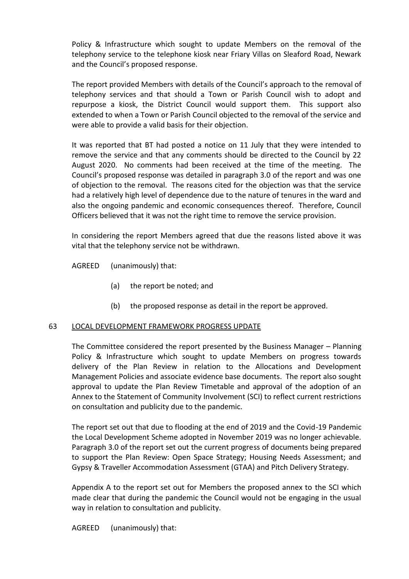Policy & Infrastructure which sought to update Members on the removal of the telephony service to the telephone kiosk near Friary Villas on Sleaford Road, Newark and the Council's proposed response.

The report provided Members with details of the Council's approach to the removal of telephony services and that should a Town or Parish Council wish to adopt and repurpose a kiosk, the District Council would support them. This support also extended to when a Town or Parish Council objected to the removal of the service and were able to provide a valid basis for their objection.

It was reported that BT had posted a notice on 11 July that they were intended to remove the service and that any comments should be directed to the Council by 22 August 2020. No comments had been received at the time of the meeting. The Council's proposed response was detailed in paragraph 3.0 of the report and was one of objection to the removal. The reasons cited for the objection was that the service had a relatively high level of dependence due to the nature of tenures in the ward and also the ongoing pandemic and economic consequences thereof. Therefore, Council Officers believed that it was not the right time to remove the service provision.

In considering the report Members agreed that due the reasons listed above it was vital that the telephony service not be withdrawn.

AGREED (unanimously) that:

- (a) the report be noted; and
- (b) the proposed response as detail in the report be approved.

### 63 LOCAL DEVELOPMENT FRAMEWORK PROGRESS UPDATE

The Committee considered the report presented by the Business Manager – Planning Policy & Infrastructure which sought to update Members on progress towards delivery of the Plan Review in relation to the Allocations and Development Management Policies and associate evidence base documents. The report also sought approval to update the Plan Review Timetable and approval of the adoption of an Annex to the Statement of Community Involvement (SCI) to reflect current restrictions on consultation and publicity due to the pandemic.

The report set out that due to flooding at the end of 2019 and the Covid-19 Pandemic the Local Development Scheme adopted in November 2019 was no longer achievable. Paragraph 3.0 of the report set out the current progress of documents being prepared to support the Plan Review: Open Space Strategy; Housing Needs Assessment; and Gypsy & Traveller Accommodation Assessment (GTAA) and Pitch Delivery Strategy.

Appendix A to the report set out for Members the proposed annex to the SCI which made clear that during the pandemic the Council would not be engaging in the usual way in relation to consultation and publicity.

AGREED (unanimously) that: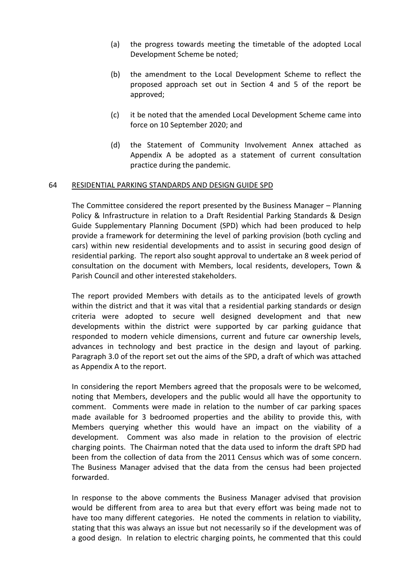- (a) the progress towards meeting the timetable of the adopted Local Development Scheme be noted;
- (b) the amendment to the Local Development Scheme to reflect the proposed approach set out in Section 4 and 5 of the report be approved;
- (c) it be noted that the amended Local Development Scheme came into force on 10 September 2020; and
- (d) the Statement of Community Involvement Annex attached as Appendix A be adopted as a statement of current consultation practice during the pandemic.

### 64 RESIDENTIAL PARKING STANDARDS AND DESIGN GUIDE SPD

The Committee considered the report presented by the Business Manager – Planning Policy & Infrastructure in relation to a Draft Residential Parking Standards & Design Guide Supplementary Planning Document (SPD) which had been produced to help provide a framework for determining the level of parking provision (both cycling and cars) within new residential developments and to assist in securing good design of residential parking. The report also sought approval to undertake an 8 week period of consultation on the document with Members, local residents, developers, Town & Parish Council and other interested stakeholders.

The report provided Members with details as to the anticipated levels of growth within the district and that it was vital that a residential parking standards or design criteria were adopted to secure well designed development and that new developments within the district were supported by car parking guidance that responded to modern vehicle dimensions, current and future car ownership levels, advances in technology and best practice in the design and layout of parking. Paragraph 3.0 of the report set out the aims of the SPD, a draft of which was attached as Appendix A to the report.

In considering the report Members agreed that the proposals were to be welcomed, noting that Members, developers and the public would all have the opportunity to comment. Comments were made in relation to the number of car parking spaces made available for 3 bedroomed properties and the ability to provide this, with Members querying whether this would have an impact on the viability of a development. Comment was also made in relation to the provision of electric charging points. The Chairman noted that the data used to inform the draft SPD had been from the collection of data from the 2011 Census which was of some concern. The Business Manager advised that the data from the census had been projected forwarded.

In response to the above comments the Business Manager advised that provision would be different from area to area but that every effort was being made not to have too many different categories. He noted the comments in relation to viability, stating that this was always an issue but not necessarily so if the development was of a good design. In relation to electric charging points, he commented that this could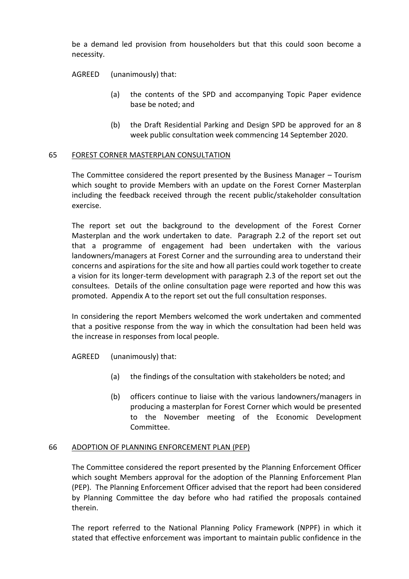be a demand led provision from householders but that this could soon become a necessity.

AGREED (unanimously) that:

- (a) the contents of the SPD and accompanying Topic Paper evidence base be noted; and
- (b) the Draft Residential Parking and Design SPD be approved for an 8 week public consultation week commencing 14 September 2020.

### 65 FOREST CORNER MASTERPLAN CONSULTATION

The Committee considered the report presented by the Business Manager – Tourism which sought to provide Members with an update on the Forest Corner Masterplan including the feedback received through the recent public/stakeholder consultation exercise.

The report set out the background to the development of the Forest Corner Masterplan and the work undertaken to date. Paragraph 2.2 of the report set out that a programme of engagement had been undertaken with the various landowners/managers at Forest Corner and the surrounding area to understand their concerns and aspirations for the site and how all parties could work together to create a vision for its longer-term development with paragraph 2.3 of the report set out the consultees. Details of the online consultation page were reported and how this was promoted. Appendix A to the report set out the full consultation responses.

In considering the report Members welcomed the work undertaken and commented that a positive response from the way in which the consultation had been held was the increase in responses from local people.

AGREED (unanimously) that:

- (a) the findings of the consultation with stakeholders be noted; and
- (b) officers continue to liaise with the various landowners/managers in producing a masterplan for Forest Corner which would be presented to the November meeting of the Economic Development Committee.

### 66 ADOPTION OF PLANNING ENFORCEMENT PLAN (PEP)

The Committee considered the report presented by the Planning Enforcement Officer which sought Members approval for the adoption of the Planning Enforcement Plan (PEP). The Planning Enforcement Officer advised that the report had been considered by Planning Committee the day before who had ratified the proposals contained therein.

The report referred to the National Planning Policy Framework (NPPF) in which it stated that effective enforcement was important to maintain public confidence in the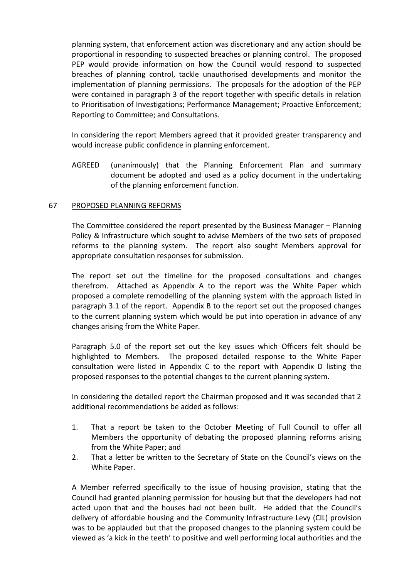planning system, that enforcement action was discretionary and any action should be proportional in responding to suspected breaches or planning control. The proposed PEP would provide information on how the Council would respond to suspected breaches of planning control, tackle unauthorised developments and monitor the implementation of planning permissions. The proposals for the adoption of the PEP were contained in paragraph 3 of the report together with specific details in relation to Prioritisation of Investigations; Performance Management; Proactive Enforcement; Reporting to Committee; and Consultations.

In considering the report Members agreed that it provided greater transparency and would increase public confidence in planning enforcement.

AGREED (unanimously) that the Planning Enforcement Plan and summary document be adopted and used as a policy document in the undertaking of the planning enforcement function.

### 67 PROPOSED PLANNING REFORMS

The Committee considered the report presented by the Business Manager – Planning Policy & Infrastructure which sought to advise Members of the two sets of proposed reforms to the planning system. The report also sought Members approval for appropriate consultation responses for submission.

The report set out the timeline for the proposed consultations and changes therefrom. Attached as Appendix A to the report was the White Paper which proposed a complete remodelling of the planning system with the approach listed in paragraph 3.1 of the report. Appendix B to the report set out the proposed changes to the current planning system which would be put into operation in advance of any changes arising from the White Paper.

Paragraph 5.0 of the report set out the key issues which Officers felt should be highlighted to Members. The proposed detailed response to the White Paper consultation were listed in Appendix C to the report with Appendix D listing the proposed responses to the potential changes to the current planning system.

In considering the detailed report the Chairman proposed and it was seconded that 2 additional recommendations be added as follows:

- 1. That a report be taken to the October Meeting of Full Council to offer all Members the opportunity of debating the proposed planning reforms arising from the White Paper; and
- 2. That a letter be written to the Secretary of State on the Council's views on the White Paper.

A Member referred specifically to the issue of housing provision, stating that the Council had granted planning permission for housing but that the developers had not acted upon that and the houses had not been built. He added that the Council's delivery of affordable housing and the Community Infrastructure Levy (CIL) provision was to be applauded but that the proposed changes to the planning system could be viewed as 'a kick in the teeth' to positive and well performing local authorities and the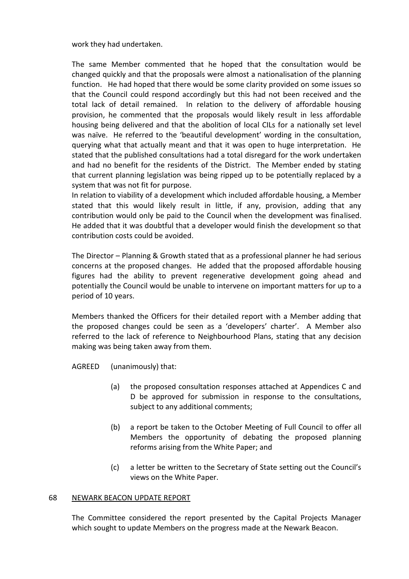work they had undertaken.

The same Member commented that he hoped that the consultation would be changed quickly and that the proposals were almost a nationalisation of the planning function. He had hoped that there would be some clarity provided on some issues so that the Council could respond accordingly but this had not been received and the total lack of detail remained. In relation to the delivery of affordable housing provision, he commented that the proposals would likely result in less affordable housing being delivered and that the abolition of local CILs for a nationally set level was naïve. He referred to the 'beautiful development' wording in the consultation, querying what that actually meant and that it was open to huge interpretation. He stated that the published consultations had a total disregard for the work undertaken and had no benefit for the residents of the District. The Member ended by stating that current planning legislation was being ripped up to be potentially replaced by a system that was not fit for purpose.

In relation to viability of a development which included affordable housing, a Member stated that this would likely result in little, if any, provision, adding that any contribution would only be paid to the Council when the development was finalised. He added that it was doubtful that a developer would finish the development so that contribution costs could be avoided.

The Director – Planning & Growth stated that as a professional planner he had serious concerns at the proposed changes. He added that the proposed affordable housing figures had the ability to prevent regenerative development going ahead and potentially the Council would be unable to intervene on important matters for up to a period of 10 years.

Members thanked the Officers for their detailed report with a Member adding that the proposed changes could be seen as a 'developers' charter'. A Member also referred to the lack of reference to Neighbourhood Plans, stating that any decision making was being taken away from them.

AGREED (unanimously) that:

- (a) the proposed consultation responses attached at Appendices C and D be approved for submission in response to the consultations, subject to any additional comments;
- (b) a report be taken to the October Meeting of Full Council to offer all Members the opportunity of debating the proposed planning reforms arising from the White Paper; and
- (c) a letter be written to the Secretary of State setting out the Council's views on the White Paper.

#### 68 NEWARK BEACON UPDATE REPORT

The Committee considered the report presented by the Capital Projects Manager which sought to update Members on the progress made at the Newark Beacon.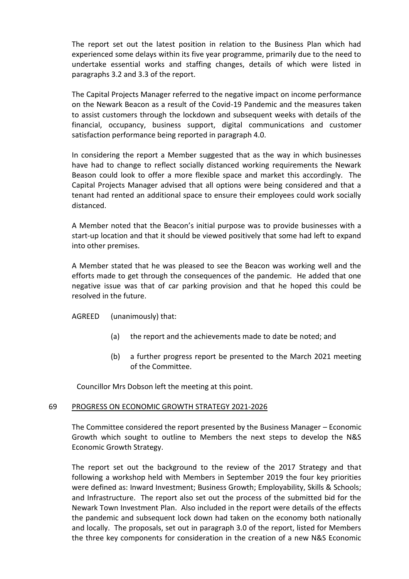The report set out the latest position in relation to the Business Plan which had experienced some delays within its five year programme, primarily due to the need to undertake essential works and staffing changes, details of which were listed in paragraphs 3.2 and 3.3 of the report.

The Capital Projects Manager referred to the negative impact on income performance on the Newark Beacon as a result of the Covid-19 Pandemic and the measures taken to assist customers through the lockdown and subsequent weeks with details of the financial, occupancy, business support, digital communications and customer satisfaction performance being reported in paragraph 4.0.

In considering the report a Member suggested that as the way in which businesses have had to change to reflect socially distanced working requirements the Newark Beason could look to offer a more flexible space and market this accordingly. The Capital Projects Manager advised that all options were being considered and that a tenant had rented an additional space to ensure their employees could work socially distanced.

A Member noted that the Beacon's initial purpose was to provide businesses with a start-up location and that it should be viewed positively that some had left to expand into other premises.

A Member stated that he was pleased to see the Beacon was working well and the efforts made to get through the consequences of the pandemic. He added that one negative issue was that of car parking provision and that he hoped this could be resolved in the future.

AGREED (unanimously) that:

- (a) the report and the achievements made to date be noted; and
- (b) a further progress report be presented to the March 2021 meeting of the Committee.

Councillor Mrs Dobson left the meeting at this point.

### 69 PROGRESS ON ECONOMIC GROWTH STRATEGY 2021-2026

The Committee considered the report presented by the Business Manager – Economic Growth which sought to outline to Members the next steps to develop the N&S Economic Growth Strategy.

The report set out the background to the review of the 2017 Strategy and that following a workshop held with Members in September 2019 the four key priorities were defined as: Inward Investment; Business Growth; Employability, Skills & Schools; and Infrastructure. The report also set out the process of the submitted bid for the Newark Town Investment Plan. Also included in the report were details of the effects the pandemic and subsequent lock down had taken on the economy both nationally and locally. The proposals, set out in paragraph 3.0 of the report, listed for Members the three key components for consideration in the creation of a new N&S Economic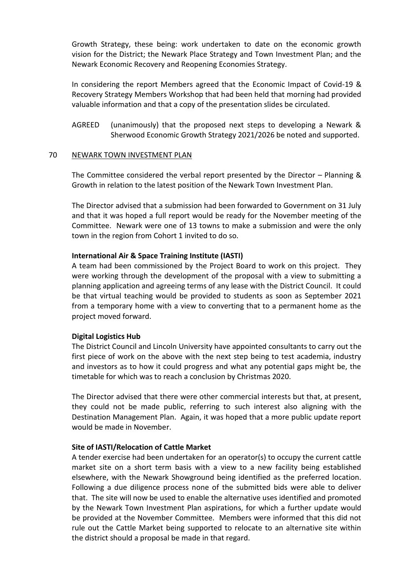Growth Strategy, these being: work undertaken to date on the economic growth vision for the District; the Newark Place Strategy and Town Investment Plan; and the Newark Economic Recovery and Reopening Economies Strategy.

In considering the report Members agreed that the Economic Impact of Covid-19 & Recovery Strategy Members Workshop that had been held that morning had provided valuable information and that a copy of the presentation slides be circulated.

AGREED (unanimously) that the proposed next steps to developing a Newark & Sherwood Economic Growth Strategy 2021/2026 be noted and supported.

### 70 NEWARK TOWN INVESTMENT PLAN

The Committee considered the verbal report presented by the Director – Planning & Growth in relation to the latest position of the Newark Town Investment Plan.

The Director advised that a submission had been forwarded to Government on 31 July and that it was hoped a full report would be ready for the November meeting of the Committee. Newark were one of 13 towns to make a submission and were the only town in the region from Cohort 1 invited to do so.

### **International Air & Space Training Institute (IASTI)**

A team had been commissioned by the Project Board to work on this project. They were working through the development of the proposal with a view to submitting a planning application and agreeing terms of any lease with the District Council. It could be that virtual teaching would be provided to students as soon as September 2021 from a temporary home with a view to converting that to a permanent home as the project moved forward.

### **Digital Logistics Hub**

The District Council and Lincoln University have appointed consultants to carry out the first piece of work on the above with the next step being to test academia, industry and investors as to how it could progress and what any potential gaps might be, the timetable for which was to reach a conclusion by Christmas 2020.

The Director advised that there were other commercial interests but that, at present, they could not be made public, referring to such interest also aligning with the Destination Management Plan. Again, it was hoped that a more public update report would be made in November.

### **Site of IASTI/Relocation of Cattle Market**

A tender exercise had been undertaken for an operator(s) to occupy the current cattle market site on a short term basis with a view to a new facility being established elsewhere, with the Newark Showground being identified as the preferred location. Following a due diligence process none of the submitted bids were able to deliver that. The site will now be used to enable the alternative uses identified and promoted by the Newark Town Investment Plan aspirations, for which a further update would be provided at the November Committee. Members were informed that this did not rule out the Cattle Market being supported to relocate to an alternative site within the district should a proposal be made in that regard.